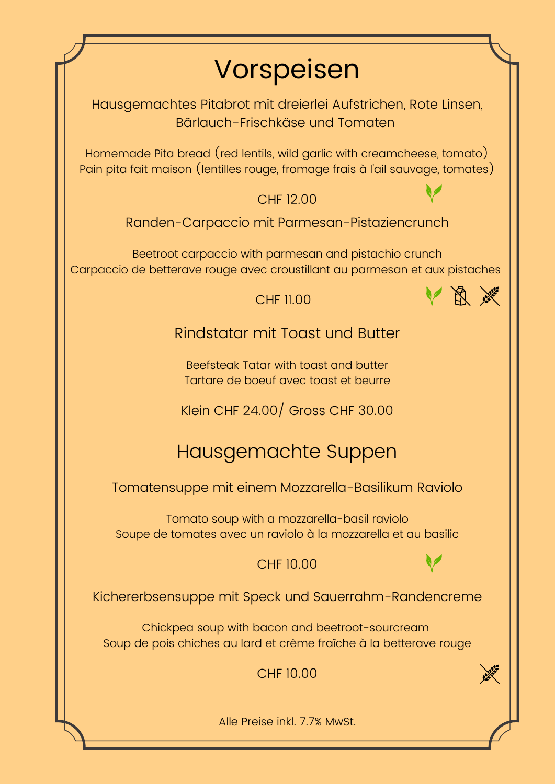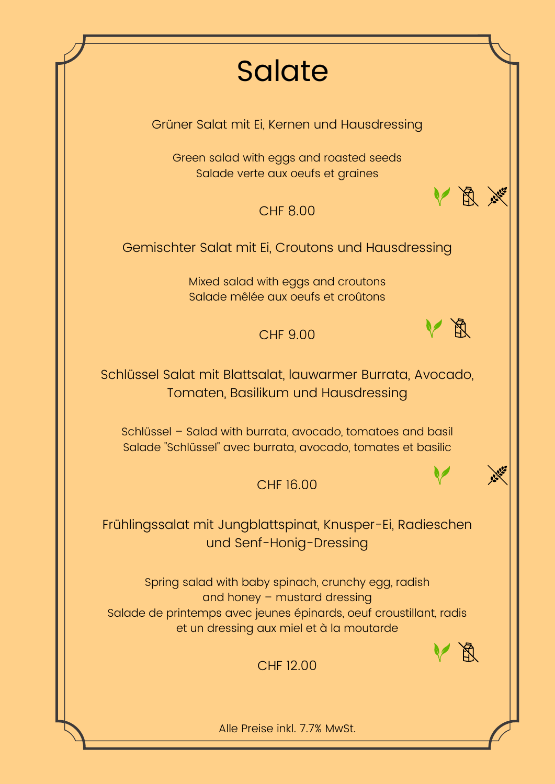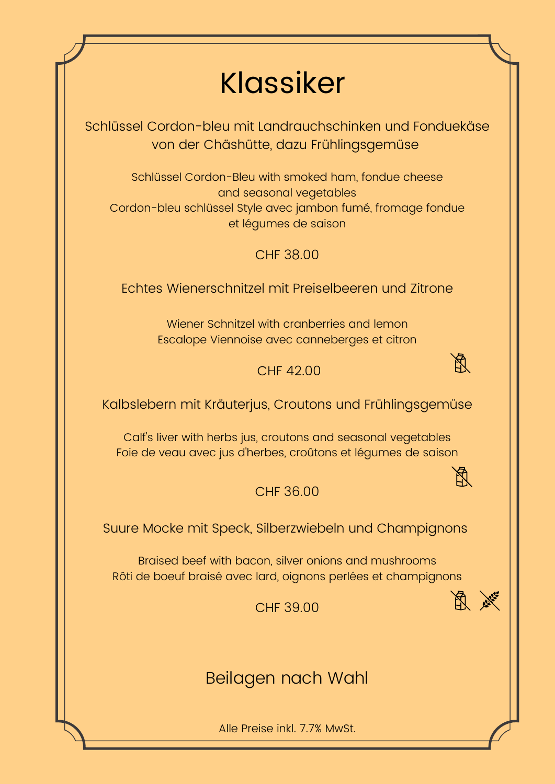## Klassiker

Schlüssel Cordon-bleu mit Landrauchschinken und Fonduekäse von der Chäshütte, dazu Frühlingsgemüse

Schlüssel Cordon-Bleu with smoked ham, fondue cheese and seasonal vegetables Cordon-bleu schlüssel Style avec jambon fumé, fromage fondue et légumes de saison

CHF 38.00

Echtes Wienerschnitzel mit Preiselbeeren und Zitrone

Wiener Schnitzel with cranberries and lemon Escalope Viennoise avec canneberges et citron

CHF 42.00



 $\cancel{E}$ 

Kalbslebern mit Kräuterjus, Croutons und Frühlingsgemüse

Calf's liver with herbs jus, croutons and seasonal vegetables Foie de veau avec jus d'herbes, croûtons et légumes de saison

CHF 36.00

Suure Mocke mit Speck, Silberzwiebeln und Champignons

Braised beef with bacon, silver onions and mushrooms Rôti de boeuf braisé avec lard, oignons perlées et champignons

CHF 39.00

医产

Beilagen nach Wahl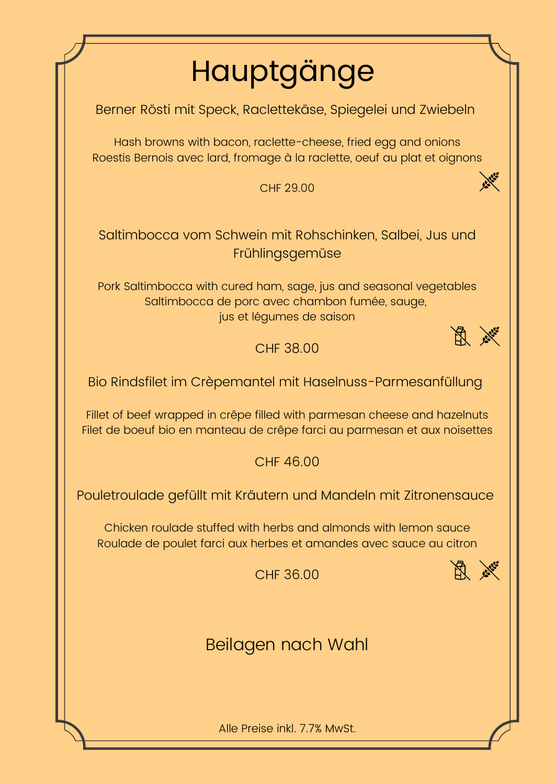# Hauptgänge

Berner Rösti mit Speck, Raclettekäse, Spiegelei und Zwiebeln

Hash browns with bacon, raclette-cheese, fried egg and onions Roestis Bernois avec lard, fromage à la raclette, oeuf au plat et oignons

CHF 29.00

### Saltimbocca vom Schwein mit Rohschinken, Salbei, Jus und Frühlingsgemüse

Pork Saltimbocca with cured ham, sage, jus and seasonal vegetables Saltimbocca de porc avec chambon fumée, sauge, jus et légumes de saison

CHF 38.00

Bio Rindsfilet im Crèpemantel mit Haselnuss-Parmesanfüllung

Fillet of beef wrapped in crêpe filled with parmesan cheese and hazelnuts Filet de boeuf bio en manteau de crêpe farci au parmesan et aux noisettes

CHF 46.00

Pouletroulade gefüllt mit Kräutern und Mandeln mit Zitronensauce

Chicken roulade stuffed with herbs and almonds with lemon sauce Roulade de poulet farci aux herbes et amandes avec sauce au citron

CHF 36.00



**ANGEL** 

医产

Beilagen nach Wahl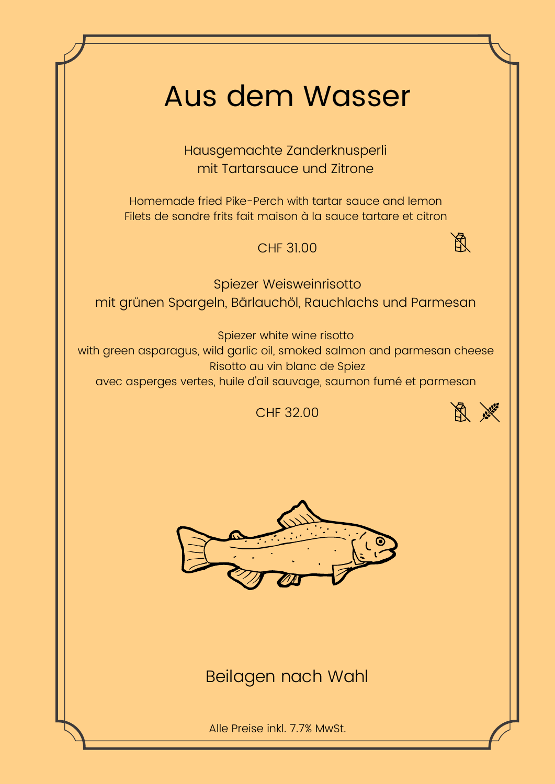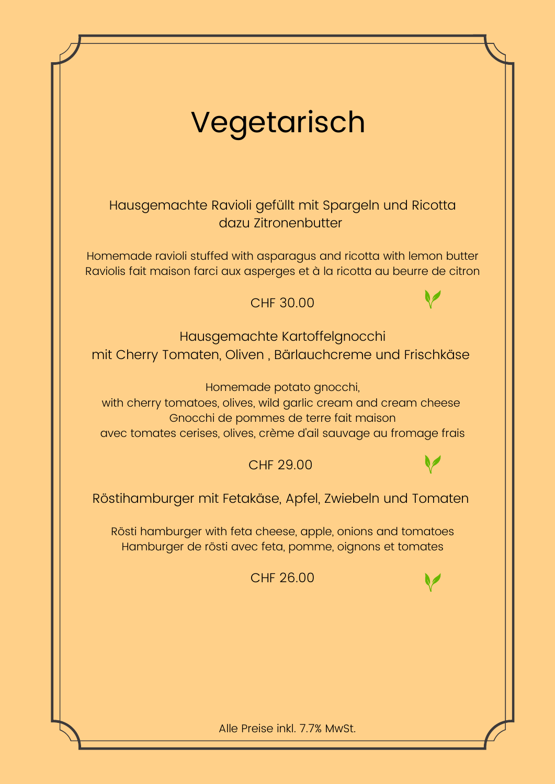| Vegetarisch                                                                                                                                                                                                  |  |
|--------------------------------------------------------------------------------------------------------------------------------------------------------------------------------------------------------------|--|
| Hausgemachte Ravioli gefüllt mit Spargeln und Ricotta<br>dazu Zitronenbutter                                                                                                                                 |  |
| Homemade ravioli stuffed with asparagus and ricotta with lemon butter<br>Raviolis fait maison farci aux asperges et à la ricotta au beurre de citron                                                         |  |
| <b>CHF 30.00</b>                                                                                                                                                                                             |  |
| Hausgemachte Kartoffelgnocchi<br>mit Cherry Tomaten, Oliven, Bärlauchcreme und Frischkäse                                                                                                                    |  |
| Homemade potato gnocchi,<br>with cherry tomatoes, olives, wild garlic cream and cream cheese<br>Gnocchi de pommes de terre fait maison<br>avec tomates cerises, olives, crème d'ail sauvage au fromage frais |  |
| <b>CHF 29.00</b>                                                                                                                                                                                             |  |
| Röstihamburger mit Fetakäse, Apfel, Zwiebeln und Tomaten                                                                                                                                                     |  |
| Rösti hamburger with feta cheese, apple, onions and tomatoes<br>Hamburger de rösti avec feta, pomme, oignons et tomates                                                                                      |  |
| <b>CHF 26.00</b>                                                                                                                                                                                             |  |
|                                                                                                                                                                                                              |  |
|                                                                                                                                                                                                              |  |
|                                                                                                                                                                                                              |  |
| Alle Preise inkl. 7.7% MwSt.                                                                                                                                                                                 |  |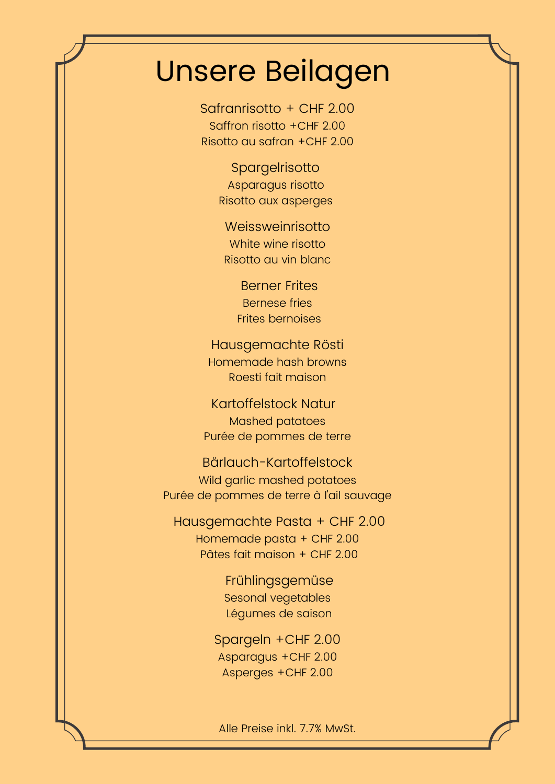### Unsere Beilagen

Safranrisotto + CHF 2.00 Saffron risotto +CHF 2.00 Risotto au safran +CHF 2.00

> Spargelrisotto Asparagus risotto Risotto aux asperges

Weissweinrisotto White wine risotto Risotto au vin blanc

> Berner Frites Bernese fries Frites bernoises

Hausgemachte Rösti Homemade hash browns Roesti fait maison

Kartoffelstock Natur Mashed patatoes Purée de pommes de terre

Bärlauch-Kartoffelstock Wild garlic mashed potatoes Purée de pommes de terre à l'ail sauvage

Hausgemachte Pasta + CHF 2.00 Homemade pasta + CHF 2.00 Pâtes fait maison + CHF 2.00

> Frühlingsgemüse Sesonal vegetables Légumes de saison

Spargeln +CHF 2.00 Asparagus +CHF 2.00 Asperges +CHF 2.00